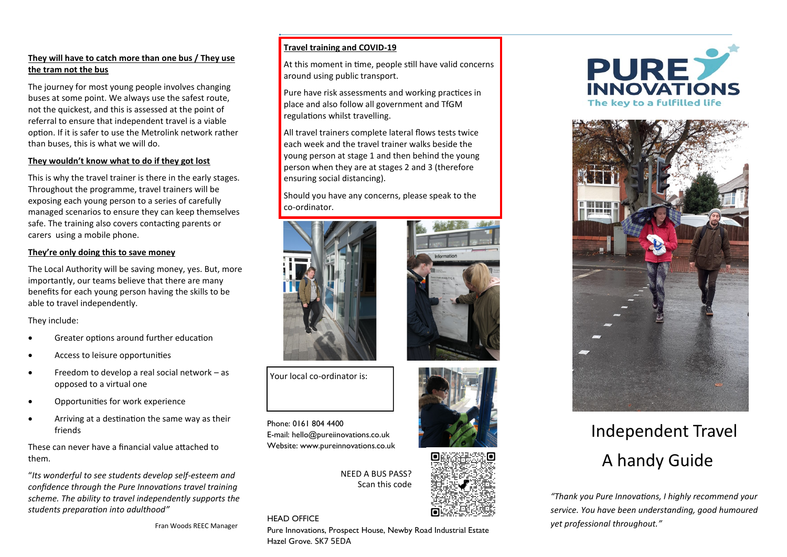### **They will have to catch more than one bus / They use the tram not the bus**

The journey for most young people involves changing buses at some point. We always use the safest route, not the quickest, and this is assessed at the point of referral to ensure that independent travel is a viable option. If it is safer to use the Metrolink network rather than buses, this is what we will do.

#### **They wouldn't know what to do if they got lost**

This is why the travel trainer is there in the early stages. Throughout the programme, travel trainers will be exposing each young person to a series of carefully managed scenarios to ensure they can keep themselves safe. The training also covers contacting parents or carers using a mobile phone.

#### **They're only doing this to save money**

The Local Authority will be saving money, yes. But, more importantly, our teams believe that there are many benefits for each young person having the skills to be able to travel independently.

They include:

- Greater options around further education
- Access to leisure opportunities
- Freedom to develop a real social network as opposed to a virtual one
- Opportunities for work experience
- Arriving at a destination the same way as their friends

These can never have a financial value attached to them.

"*Its wonderful to see students develop self-esteem and confidence through the Pure Innovations travel training scheme. The ability to travel independently supports the students preparation into adulthood"*

Fran Woods REEC Manager

# **Travel training and COVID-19**

At this moment in time, people still have valid concerns around using public transport.

Pure have risk assessments and working practices in place and also follow all government and TfGM regulations whilst travelling.

All travel trainers complete lateral flows tests twice each week and the travel trainer walks beside the young person at stage 1 and then behind the young person when they are at stages 2 and 3 (therefore ensuring social distancing).

Should you have any concerns, please speak to the co-ordinator.









**PURE** The key to a fulfilled life



# Independent Travel A handy Guide

*"Thank you Pure Innovations, I highly recommend your service. You have been understanding, good humoured yet professional throughout."*

Your local co-ordinator is:

Phone: 0161 804 4400 E-mail: hello@pureiinovations.co.uk Website: www.pureinnovations.co.uk

HEAD OFFICE

NEED A BUS PASS? Scan this code

Pure Innovations, Prospect House, Newby Road Industrial Estate Hazel Grove. SK7 5EDA